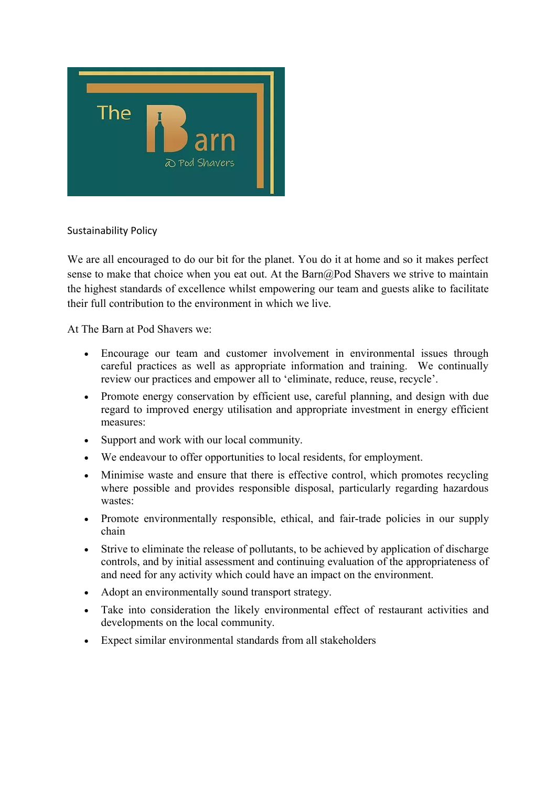

Sustainability Policy

We are all encouraged to do our bit for the planet. You do it at home and so it makes perfect sense to make that choice when you eat out. At the Barn@Pod Shavers we strive to maintain the highest standards of excellence whilst empowering our team and guests alike to facilitate their full contribution to the environment in which we live.

At The Barn at Pod Shavers we:

- Encourage our team and customer involvement in environmental issues through careful practices as well as appropriate information and training. We continually review our practices and empower all to 'eliminate, reduce, reuse, recycle'.
- Promote energy conservation by efficient use, careful planning, and design with due regard to improved energy utilisation and appropriate investment in energy efficient measures:
- Support and work with our local community.
- We endeavour to offer opportunities to local residents, for employment.
- Minimise waste and ensure that there is effective control, which promotes recycling where possible and provides responsible disposal, particularly regarding hazardous wastes:
- Promote environmentally responsible, ethical, and fair-trade policies in our supply chain
- Strive to eliminate the release of pollutants, to be achieved by application of discharge controls, and by initial assessment and continuing evaluation of the appropriateness of and need for any activity which could have an impact on the environment.
- Adopt an environmentally sound transport strategy.
- Take into consideration the likely environmental effect of restaurant activities and developments on the local community.
- Expect similar environmental standards from all stakeholders